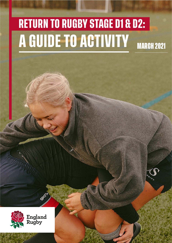# **RETURN TO RUGBY STAGE D1 & D2: A GUIDE TO ACTIVITY** MARCH 2021

**MARK** 

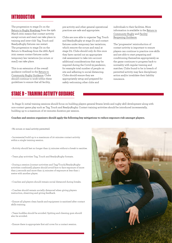#### **INTRODUCTION**

The progression to stage D1 on the [Return to Rugby Roadmap f](https://www.englandrugby.com/participation/running-your-club/coronavirus/coronavirus-resources)rom the 29th March 2021 means that contact activity except scrum and maul can take place in training and inter-club Tag, Touch and Ready4Rugby fixtures can restart. The progression to stage D2 on the Return to Roadmap from the 26th April 2021 means contact fixtures under temporary law variations (no scrum or maul) can take place.

This is an extension of the overall guidance outlined in the [Return to](https://www.englandrugby.com/participation/running-your-club/coronavirus/return-to-rugby)  [Community Rugby Guidance.](https://www.englandrugby.com/participation/running-your-club/coronavirus/return-to-rugby) Clubs should continue to work within these guidelines to ensure that all facility,

pre-activity and other general operational practices are safe and appropriate.

Clubs are now able to organise Tag, Touch and Ready4Rugby at stage D1 and contact fixtures under temporary law variations, which remove the scrum and maul at stage D2. Clubs should only do this once they have carried out an appropriate risk assessment to take into account additional considerations that may be required during the Covid-19 pandemic, for example total number of people on site and adhering to social distancing. Clubs should ensure they are appropriately setup and prepared for safely welcoming other clubs and

individuals to their facilities. More information is available in the [Return to](https://www.englandrugby.com/participation/running-your-club/coronavirus/return-to-rugby)  [Community Rugby](https://www.englandrugby.com/participation/running-your-club/coronavirus/return-to-rugby) and [Facility](https://www.englandrugby.com/participation/running-your-club/coronavirus/return-to-rugby)  [Reopening Guidance.](https://www.englandrugby.com/participation/running-your-club/coronavirus/return-to-rugby)

The 'progressive' reintroduction of contact activity is important to ensure players can continue to practice core skills and are able to start preparing and conditioning themselves appropriately as the game continues to progress back to normality with regular training and matches. Clubs found to be in breach of permitted activity may face disciplinary action and/or invalidate their liability insurance.

#### **STAGE D – TRAINING ACTIVITY GUIDANCE**

 In Stage D, initial training sessions should focus on building players general fitness levels and rugby skill development along with non-contact game play such as Tag, Touch and Ready4Rugby. Contact training activities should be introduced incrementally, building up to a maximum of 20 minutes duration per session.

**Coaches and session organisers should apply the following key mitigations to reduce exposure risk amongst players.**

• No scrum or maul activity permitted.

- Incremental build up to a maximum of 20 minutes contact activity within a single training session.
- Activity should last no longer than 15 minutes without a break to sanitise.
- Team play activities Tag, Touch and Ready4Rugby formats.

• During a session (contact activities and Tag/Touch/Ready4Rugby activities combined) players should avoid face to face exposure of more than 3 seconds and more than 15 minutes of exposure at less than 1 metre with another player.

- Coaches and players should remain social distanced during breaks.
- Coaches should remain socially distanced when giving players instruction, observing and giving feedback.
- Ensure all players clean hands and equipment is sanitised after contact skills training.
- Team huddles should be avoided. Spitting and chewing gum should also be avoided.
- Ensure there is appropriate first aid cover for a contact session.

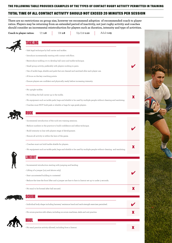#### **TOTAL TIME OF ALL CONTACT ACTIVITY SHOULD NOT EXCEED 20 MINUTES PER SESSION**

**There are no restrictions on group size, however we recommend adoption of recommended coach to player ratios. Players may be returning from an extended period of inactivity, not just rugby activity and coaches should consider an incremental reintroduction for players such as duration, intensity and type of activities.**

**Coach to player ratios:** U7 **1:6** U8 **1:8** U9-U18 **1:10** Adult **1:15**

| ۰. |
|----|

| · Safe legal technique by ball carrier and tackler.                                                                 |   |
|---------------------------------------------------------------------------------------------------------------------|---|
| • Introduce incrementally starting with contact with floor.                                                         |   |
| · Reintroduce tackling 1v1 to develop ball carry and tackle technique.                                              |   |
| · Small group activity, preferably with players working in pairs.                                                   |   |
| . Use of tackle bags, shields and pads that are cleaned and sanitised after each player use.                        |   |
| • A focus on the key coaching points.                                                                               |   |
| • Ensure players are confident and physically ready before increasing intensity.                                    |   |
| • No upright tackles.                                                                                               |   |
| $\cdot$ No holding the ball carrier up in the tackle.                                                               |   |
| • No equipment such as tackle pads, bags and shields to be used by multiple people without cleaning and sanitising. |   |
| • Coaches must NOT hold pads or shields or bags for age grade players.                                              |   |
| HIIHK                                                                                                               |   |
| • Incremental introduction of the ruck into training sessions.                                                      |   |
| · Reduce numbers in the practice to build confidence and refine technique.                                          |   |
| • Build intensity in line with players stage of development.                                                        |   |
| • Ensure all activity is within the laws of the game.                                                               |   |
|                                                                                                                     |   |
| • Coaches must not hold tackle shields for players.                                                                 |   |
| • No equipment such as tackle pads, bags and shields to be used by multiple people without cleaning and sanitising. |   |
|                                                                                                                     |   |
|                                                                                                                     |   |
| • Incremental introduction starting with jumping and landing                                                        |   |
| • Lifting of a jumper (u15 and above only)                                                                          |   |
| • Start uncontested building to contested                                                                           |   |
| • Reduce the time the front lifter and a jumper are face to face in lineout set up to under 3 seconds.              |   |
| • No maul to be formed after ball secured.                                                                          | X |
|                                                                                                                     |   |
| · Individual body shape including harness/resistance band and neck strength exercises permitted.                    |   |
| • No scrum practice with others, including on scrum machines, sleds and unit practice.                              |   |



R

**MAUL**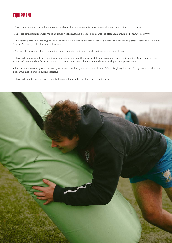### **EQUIPMENT**

• Any equipment such as tackle pads, shields, bags should be cleaned and sanitised after each individual players use.

• All other equipment including tags and rugby balls should be cleaned and sanitised after a maximum of 15 minutes activity.

• The holding of tackle shields, pads or bags must not be carried out by a coach or adult for any age grade player. [Watch the Holding a](https://www.youtube.com/watch?v=dxXQPCKB8RM&t=1s) [Tackle Pad Safely video for more information.](https://www.youtube.com/watch?v=dxXQPCKB8RM&t=1s)

• Sharing of equipment should be avoided at all times including bibs and playing shirts on match days.

• Players should refrain from touching or removing their mouth guard, and if they do so must wash their hands. Mouth guards must not be left on shared surfaces and should be placed in a personal container and stored with personal possessions.

• Any protective clothing such as head guards and shoulder pads must comply with World Rugby guidance. Head guards and shoulder pads must not be shared during sessions.

• Players should bring their own water bottles and team water bottles should not be used.

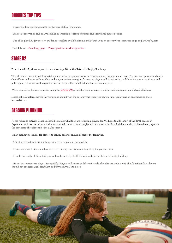## **COACHES TOP TIPS**

- Revisit the key coaching points for the core skills of the game.
- Practice observation and analysis skills by watching footage of games and individual player actions.

• Use of England Rugby session guidance template available from 22nd March 2021 on coronavirus resources page englandrugby.com

**Useful links: [Coaching page](https://www.englandrugby.com/participation/coaching) [Player position workshop series](https://www.englandrugby.com/participation/playing/inspired-to-play)**

#### **STAGE D2**

#### **From the 26th April we expect to move to stage D2 on the Return to Rugby Roadmap.**

This allows for contact matches to take place under temporary law variations removing the scrum and maul. Fixtures are optional and clubs should look to discuss with coaches and players before arranging fixtures as players will be returning in different stages of readiness and putting players in fixtures too quickly and too frequently could lead to a higher risk of injury.

When organising fixtures consider using the **[GAME ON](https://www.englandrugby.com/participation/playing/game-on)** principles such as match duration and using quarters instead of halves.

Match officials refereeing the law variations should visit the coronavirus resources page for more information on officiating these law variations.

### **SESSION PLANNING**

As we return to activity Coaches should consider what they are returning players for. We hope that the start of the 21/22 season in September will see the reintroduction of competitive full contact rugby union and with this in mind the aim should be to have players in the best state of readiness for the 21/22 season.

When planning sessions for players to return, coaches should consider the following:

- Adjust session durations and frequency to bring players back safely.
- Plan sessions in 3- 4 session blocks to have a long term view of integrating the players back.
- Plan the intensity of the activity as well as the activity itself. This should start with low intensity building.
- Do not try to progress players too quickly. Players will return at different levels of readiness and activity should reflect this. Players should not progress until confident and physically safe to do so.